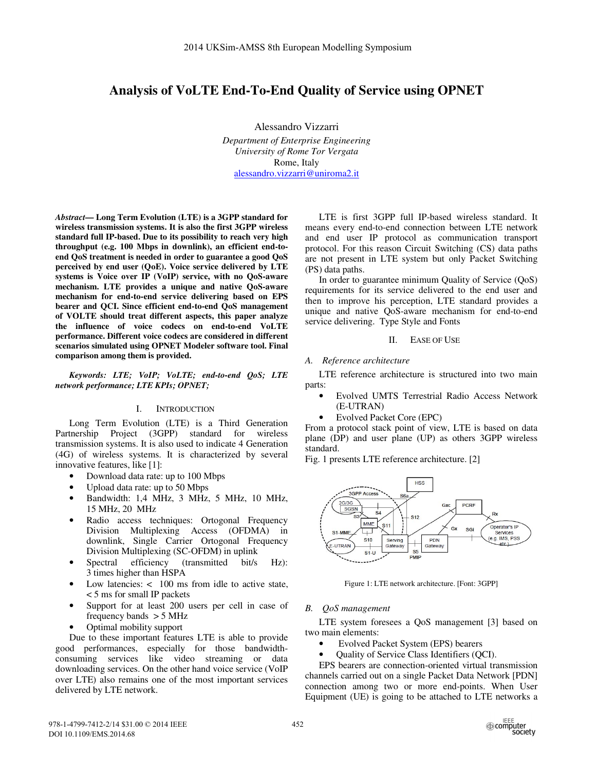# **Analysis of VoLTE End-To-End Quality of Service using OPNET**

Alessandro Vizzarri *Department of Enterprise Engineering University of Rome Tor Vergata*  Rome, Italy alessandro.vizzarri@uniroma2.it

*Abstract***— Long Term Evolution (LTE) is a 3GPP standard for wireless transmission systems. It is also the first 3GPP wireless standard full IP-based. Due to its possibility to reach very high throughput (e.g. 100 Mbps in downlink), an efficient end-toend QoS treatment is needed in order to guarantee a good QoS perceived by end user (QoE). Voice service delivered by LTE systems is Voice over IP (VoIP) service, with no QoS-aware mechanism. LTE provides a unique and native QoS-aware mechanism for end-to-end service delivering based on EPS bearer and QCI. Since efficient end-to-end QoS management of VOLTE should treat different aspects, this paper analyze the influence of voice codecs on end-to-end VoLTE performance. Different voice codecs are considered in different scenarios simulated using OPNET Modeler software tool. Final comparison among them is provided.** 

*Keywords: LTE; VoIP; VoLTE; end-to-end QoS; LTE network performance; LTE KPIs; OPNET;* 

### I. INTRODUCTION

Long Term Evolution (LTE) is a Third Generation Partnership Project (3GPP) standard for wireless transmission systems. It is also used to indicate 4 Generation (4G) of wireless systems. It is characterized by several innovative features, like [1]:

- Download data rate: up to 100 Mbps
- Upload data rate: up to 50 Mbps
- Bandwidth: 1,4 MHz, 3 MHz, 5 MHz, 10 MHz, 15 MHz, 20 MHz
- Radio access techniques: Ortogonal Frequency Division Multiplexing Access (OFDMA) in downlink, Single Carrier Ortogonal Frequency Division Multiplexing (SC-OFDM) in uplink
- Spectral efficiency (transmitted bit/s Hz): 3 times higher than HSPA
- Low latencies:  $\lt$  100 ms from idle to active state, < 5 ms for small IP packets
- Support for at least 200 users per cell in case of frequency bands  $> 5$  MHz
- Optimal mobility support

Due to these important features LTE is able to provide good performances, especially for those bandwidthconsuming services like video streaming or data downloading services. On the other hand voice service (VoIP over LTE) also remains one of the most important services delivered by LTE network.

LTE is first 3GPP full IP-based wireless standard. It means every end-to-end connection between LTE network and end user IP protocol as communication transport protocol. For this reason Circuit Switching (CS) data paths are not present in LTE system but only Packet Switching (PS) data paths.

In order to guarantee minimum Quality of Service (QoS) requirements for its service delivered to the end user and then to improve his perception, LTE standard provides a unique and native QoS-aware mechanism for end-to-end service delivering. Type Style and Fonts

II. EASE OF USE

*A. Reference architecture* 

LTE reference architecture is structured into two main parts:

- Evolved UMTS Terrestrial Radio Access Network (E-UTRAN)
- Evolved Packet Core (EPC)

From a protocol stack point of view, LTE is based on data plane (DP) and user plane (UP) as others 3GPP wireless standard.

Fig. 1 presents LTE reference architecture. [2]



Figure 1: LTE network architecture. [Font: 3GPP]

### *B. QoS management*

LTE system foresees a QoS management [3] based on two main elements:

- Evolved Packet System (EPS) bearers
- Quality of Service Class Identifiers (QCI).

EPS bearers are connection-oriented virtual transmission channels carried out on a single Packet Data Network [PDN] connection among two or more end-points. When User Equipment (UE) is going to be attached to LTE networks a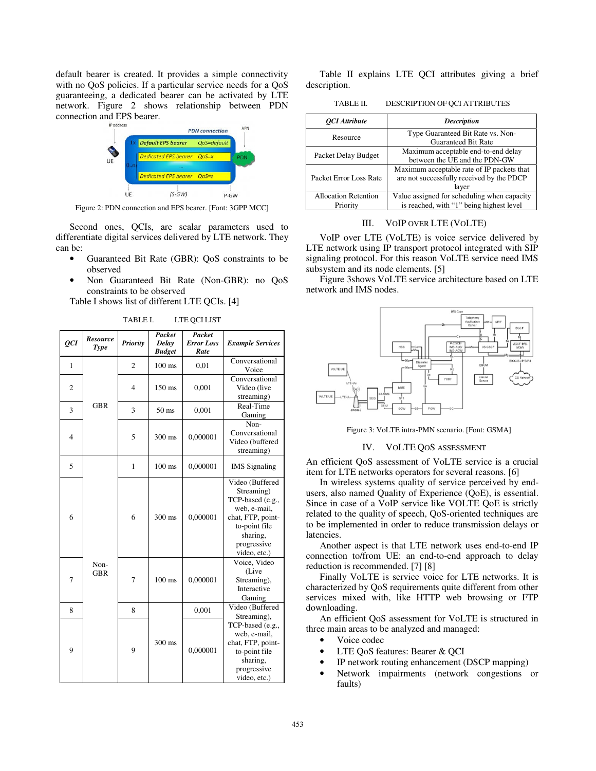default bearer is created. It provides a simple connectivity with no QoS policies. If a particular service needs for a QoS guaranteeing, a dedicated bearer can be activated by LTE network. Figure 2 shows relationship between PDN connection and EPS bearer.



Figure 2: PDN connection and EPS bearer. [Font: 3GPP MCC]

Second ones, QCIs, are scalar parameters used to differentiate digital services delivered by LTE network. They can be:

- Guaranteed Bit Rate (GBR): QoS constraints to be observed
- Non Guaranteed Bit Rate (Non-GBR): no QoS constraints to be observed

Table I shows list of different LTE QCIs. [4]

TABLE I. LTE QCI LIST

| QCI            | <b>Resource</b><br><b>Type</b> | <b>Priority</b> | Packet<br>Delay<br><b>Budget</b> | Packet<br><b>Error Loss</b><br>Rate | <b>Example Services</b>                                                                                                                            |
|----------------|--------------------------------|-----------------|----------------------------------|-------------------------------------|----------------------------------------------------------------------------------------------------------------------------------------------------|
| $\mathbf{1}$   |                                | $\overline{2}$  | $100$ ms                         | 0,01                                | Conversational<br>Voice                                                                                                                            |
| $\overline{c}$ |                                | $\overline{4}$  | $150$ ms                         | 0,001                               | Conversational<br>Video (live<br>streaming)                                                                                                        |
| 3              | <b>GBR</b>                     | 3               | 50 <sub>ms</sub>                 | 0,001                               | Real-Time<br>Gaming                                                                                                                                |
| $\overline{4}$ |                                | 5               | 300 ms                           | 0,000001                            | Non-<br>Conversational<br>Video (buffered<br>streaming)                                                                                            |
| 5              |                                | $\mathbf{1}$    | $100$ ms                         | 0,000001                            | <b>IMS</b> Signaling                                                                                                                               |
| 6              |                                | 6               | 300 ms                           | 0,000001                            | Video (Buffered<br>Streaming)<br>TCP-based (e.g.,<br>web, e-mail,<br>chat, FTP, point-<br>to-point file<br>sharing,<br>progressive<br>video, etc.) |
| 7              | Non-<br><b>GBR</b>             | 7               | $100$ ms                         | 0,000001                            | Voice, Video<br>(Live<br>Streaming),<br>Interactive<br>Gaming                                                                                      |
| 8              |                                | 8               |                                  | 0,001                               | Video (Buffered<br>Streaming),                                                                                                                     |
| 9              |                                | 9               | 300 ms                           | 0,000001                            | TCP-based (e.g.,<br>web, e-mail,<br>chat, FTP, point-<br>to-point file<br>sharing,<br>progressive<br>video, etc.)                                  |

Table II explains LTE QCI attributes giving a brief description.

TABLE II. DESCRIPTION OF QCI ATTRIBUTES

| <b>OCI</b> Attribute                    | <b>Description</b>                                                                               |  |  |
|-----------------------------------------|--------------------------------------------------------------------------------------------------|--|--|
| Resource                                | Type Guaranteed Bit Rate vs. Non-<br><b>Guaranteed Bit Rate</b>                                  |  |  |
| Packet Delay Budget                     | Maximum acceptable end-to-end delay<br>between the UE and the PDN-GW                             |  |  |
| Packet Error Loss Rate                  | Maximum acceptable rate of IP packets that<br>are not successfully received by the PDCP<br>layer |  |  |
| <b>Allocation Retention</b><br>Priority | Value assigned for scheduling when capacity<br>is reached, with "1" being highest level          |  |  |

### III. VOIP OVER LTE (VOLTE)

VoIP over LTE (VoLTE) is voice service delivered by LTE network using IP transport protocol integrated with SIP signaling protocol. For this reason VoLTE service need IMS subsystem and its node elements. [5]

Figure 3shows VoLTE service architecture based on LTE network and IMS nodes.



Figure 3: VoLTE intra-PMN scenario. [Font: GSMA]

### IV. VOLTE QOS ASSESSMENT

An efficient QoS assessment of VoLTE service is a crucial item for LTE networks operators for several reasons. [6]

In wireless systems quality of service perceived by endusers, also named Quality of Experience (QoE), is essential. Since in case of a VoIP service like VOLTE QoE is strictly related to the quality of speech, QoS-oriented techniques are to be implemented in order to reduce transmission delays or latencies.

Another aspect is that LTE network uses end-to-end IP connection to/from UE: an end-to-end approach to delay reduction is recommended. [7] [8]

Finally VoLTE is service voice for LTE networks. It is characterized by QoS requirements quite different from other services mixed with, like HTTP web browsing or FTP downloading.

An efficient QoS assessment for VoLTE is structured in three main areas to be analyzed and managed:

- Voice codec
- LTE QoS features: Bearer & QCI
- IP network routing enhancement (DSCP mapping)
- Network impairments (network congestions or faults)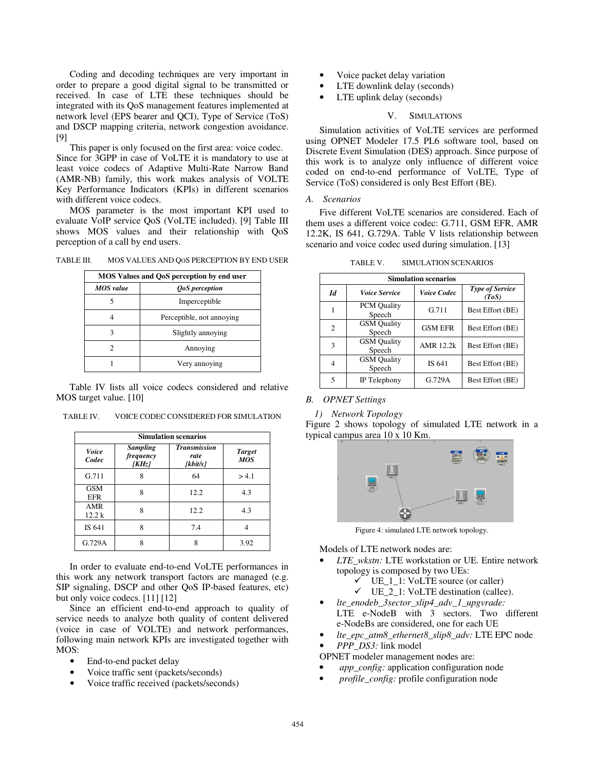Coding and decoding techniques are very important in order to prepare a good digital signal to be transmitted or received. In case of LTE these techniques should be integrated with its QoS management features implemented at network level (EPS bearer and QCI), Type of Service (ToS) and DSCP mapping criteria, network congestion avoidance. [9]

This paper is only focused on the first area: voice codec. Since for 3GPP in case of VoLTE it is mandatory to use at least voice codecs of Adaptive Multi-Rate Narrow Band (AMR-NB) family, this work makes analysis of VOLTE Key Performance Indicators (KPIs) in different scenarios with different voice codecs.

MOS parameter is the most important KPI used to evaluate VoIP service QoS (VoLTE included). [9] Table III shows MOS values and their relationship with QoS perception of a call by end users.

TABLE III. MOS VALUES AND QOS PERCEPTION BY END USER

| MOS Values and QoS perception by end user |                           |  |  |
|-------------------------------------------|---------------------------|--|--|
| <b>MOS</b> value<br><b>QoS</b> perception |                           |  |  |
| 5                                         | Imperceptible             |  |  |
|                                           | Perceptible, not annoying |  |  |
| 3                                         | Slightly annoying         |  |  |
| 2                                         | Annoving                  |  |  |
|                                           | Very annoying             |  |  |

Table IV lists all voice codecs considered and relative MOS target value. [10]

| TABLE IV. | VOICE CODEC CONSIDERED FOR SIMULATION |
|-----------|---------------------------------------|
|           |                                       |

| <b>Simulation scenarios</b> |                                              |                                         |                             |  |
|-----------------------------|----------------------------------------------|-----------------------------------------|-----------------------------|--|
| <b>Voice</b><br>Codec       | <b>Sampling</b><br>frequency<br><b>[KHz]</b> | <b>Transmission</b><br>rate<br>[kbit/s] | <b>Target</b><br><b>MOS</b> |  |
| G.711                       | 8                                            | 64                                      | > 4.1                       |  |
| <b>GSM</b><br>EFR           | 8                                            | 12.2                                    | 4.3                         |  |
| AMR<br>12.2 k               | 8                                            | 12.2                                    | 4.3                         |  |
| IS 641                      | 8                                            | 7.4                                     |                             |  |
| G.729A                      | 8                                            | 8                                       | 3.92                        |  |

In order to evaluate end-to-end VoLTE performances in this work any network transport factors are managed (e.g. SIP signaling, DSCP and other QoS IP-based features, etc) but only voice codecs. [11] [12]

Since an efficient end-to-end approach to quality of service needs to analyze both quality of content delivered (voice in case of VOLTE) and network performances, following main network KPIs are investigated together with MOS:

- End-to-end packet delay
- Voice traffic sent (packets/seconds)
- Voice traffic received (packets/seconds)
- Voice packet delay variation
- LTE downlink delay (seconds)
- LTE uplink delay (seconds)

### V. SIMULATIONS

Simulation activities of VoLTE services are performed using OPNET Modeler 17.5 PL6 software tool, based on Discrete Event Simulation (DES) approach. Since purpose of this work is to analyze only influence of different voice coded on end-to-end performance of VoLTE, Type of Service (ToS) considered is only Best Effort (BE).

### *A. Scenarios*

Five different VoLTE scenarios are considered. Each of them uses a different voice codec: G.711, GSM EFR, AMR 12.2K, IS 641, G.729A. Table V lists relationship between scenario and voice codec used during simulation. [13]

| <b>Simulation scenarios</b> |                              |                    |                                 |  |  |
|-----------------------------|------------------------------|--------------------|---------------------------------|--|--|
| Id                          | <i><b>Voice Service</b></i>  | <i>Voice Codec</i> | <b>Type of Service</b><br>(ToS) |  |  |
| 1                           | <b>PCM Quality</b><br>Speech | G.711              | Best Effort (BE)                |  |  |
| $\overline{c}$              | <b>GSM</b> Quality<br>Speech | <b>GSM EFR</b>     | Best Effort (BE)                |  |  |
| 3                           | <b>GSM</b> Quality<br>Speech | AMR 12.2k          | Best Effort (BE)                |  |  |
| 4                           | <b>GSM</b> Quality<br>Speech | IS 641             | Best Effort (BE)                |  |  |
| 5                           | IP Telephony                 | G.729A             | Best Effort (BE)                |  |  |

TABLE V. SIMULATION SCENARIOS

## *B. OPNET Settings*

*1) Network Topology* 

Figure 2 shows topology of simulated LTE network in a typical campus area 10 x 10 Km.



Figure 4: simulated LTE network topology.

Models of LTE network nodes are:

- *LTE\_wkstn:* LTE workstation or UE. Entire network topology is composed by two UEs:
	- $\checkmark$ UE\_1\_1: VoLTE source (or caller)
	- $\checkmark$  UE\_2\_1: VoLTE destination (callee).
- *lte\_enodeb\_3sector\_slip4\_adv\_1\_upgvrade:* LTE e-NodeB with 3 sectors. Two different e-NodeBs are considered, one for each UE
- *lte\_epc\_atm8\_ethernet8\_slip8\_adv:* LTE EPC node
- *PPP\_DS3:* link model
- OPNET modeler management nodes are:
- *app\_config:* application configuration node
- *profile\_config:* profile configuration node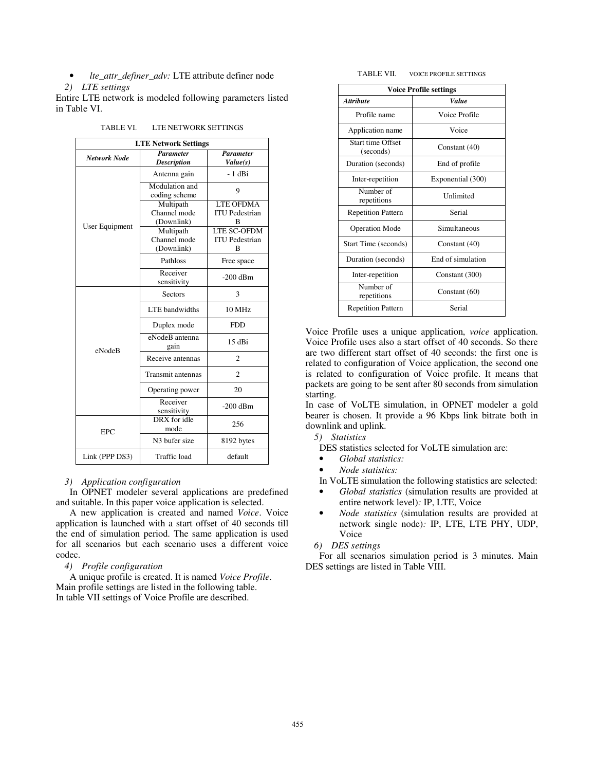• *lte\_attr\_definer\_adv:* LTE attribute definer node

### *2) LTE settings*

Entire LTE network is modeled following parameters listed in Table VI.

| <b>LTE Network Settings</b> |                                        |                              |  |  |  |
|-----------------------------|----------------------------------------|------------------------------|--|--|--|
| Network Node                | <b>Parameter</b><br><b>Description</b> | <b>Parameter</b><br>Value(s) |  |  |  |
|                             | Antenna gain                           | $-1$ dBi                     |  |  |  |
|                             | Modulation and<br>coding scheme        | 9                            |  |  |  |
|                             | Multipath                              | <b>LTE OFDMA</b>             |  |  |  |
|                             | Channel mode                           | <b>ITU</b> Pedestrian        |  |  |  |
| User Equipment              | (Downlink)                             | в                            |  |  |  |
|                             | Multipath                              | <b>LTE SC-OFDM</b>           |  |  |  |
|                             | Channel mode                           | <b>ITU</b> Pedestrian        |  |  |  |
|                             | (Downlink)                             | B                            |  |  |  |
|                             | Pathloss                               | Free space                   |  |  |  |
|                             | Receiver<br>sensitivity                | $-200$ dBm                   |  |  |  |
|                             | <b>Sectors</b>                         | 3                            |  |  |  |
|                             | LTE bandwidths                         | 10 MHz                       |  |  |  |
|                             | Duplex mode                            | <b>FDD</b>                   |  |  |  |
| eNodeB                      | eNodeB antenna<br>gain                 | 15 dBi                       |  |  |  |
|                             | Receive antennas                       | $\overline{c}$               |  |  |  |
|                             | Transmit antennas                      | $\overline{c}$               |  |  |  |
|                             | Operating power                        | 20                           |  |  |  |
|                             | Receiver<br>sensitivity                | $-200$ dBm                   |  |  |  |
| EPC                         | DRX for idle<br>mode                   | 256                          |  |  |  |
|                             | N <sub>3</sub> bufer size              | 8192 bytes                   |  |  |  |
| Link (PPP DS3)              | Traffic load                           | default                      |  |  |  |

TABLE VI. LTE NETWORK SETTINGS

*3) Application configuration* 

In OPNET modeler several applications are predefined and suitable. In this paper voice application is selected.

A new application is created and named *Voice*. Voice application is launched with a start offset of 40 seconds till the end of simulation period. The same application is used for all scenarios but each scenario uses a different voice codec.

*4) Profile configuration* 

A unique profile is created. It is named *Voice Profile*. Main profile settings are listed in the following table. In table VII settings of Voice Profile are described.

| TABLE VII.<br><b>VOICE PROFILE SETTINGS</b> |  |
|---------------------------------------------|--|
|---------------------------------------------|--|

| <b>Voice Profile settings</b>         |                   |  |  |
|---------------------------------------|-------------------|--|--|
| <b>Attribute</b>                      | Value             |  |  |
| Profile name                          | Voice Profile     |  |  |
| Application name                      | Voice             |  |  |
| <b>Start time Offset</b><br>(seconds) | Constant (40)     |  |  |
| Duration (seconds)                    | End of profile    |  |  |
| Inter-repetition                      | Exponential (300) |  |  |
| Number of<br>repetitions              | Unlimited         |  |  |
| <b>Repetition Pattern</b>             | Serial            |  |  |
| <b>Operation Mode</b>                 | Simultaneous      |  |  |
| Start Time (seconds)                  | Constant (40)     |  |  |
| Duration (seconds)                    | End of simulation |  |  |
| Inter-repetition                      | Constant (300)    |  |  |
| Number of<br>repetitions              | Constant (60)     |  |  |
| <b>Repetition Pattern</b>             | Serial            |  |  |

Voice Profile uses a unique application, *voice* application. Voice Profile uses also a start offset of 40 seconds. So there are two different start offset of 40 seconds: the first one is related to configuration of Voice application, the second one is related to configuration of Voice profile. It means that packets are going to be sent after 80 seconds from simulation starting.

In case of VoLTE simulation, in OPNET modeler a gold bearer is chosen. It provide a 96 Kbps link bitrate both in downlink and uplink.

- *5) Statistics*
- DES statistics selected for VoLTE simulation are:
- *Global statistics:*
- *Node statistics:*

In VoLTE simulation the following statistics are selected:

- *Global statistics* (simulation results are provided at entire network level)*:* IP, LTE, Voice
- *Node statistics* (simulation results are provided at network single node)*:* IP, LTE, LTE PHY, UDP, Voice
- *6) DES settings*

For all scenarios simulation period is 3 minutes. Main DES settings are listed in Table VIII.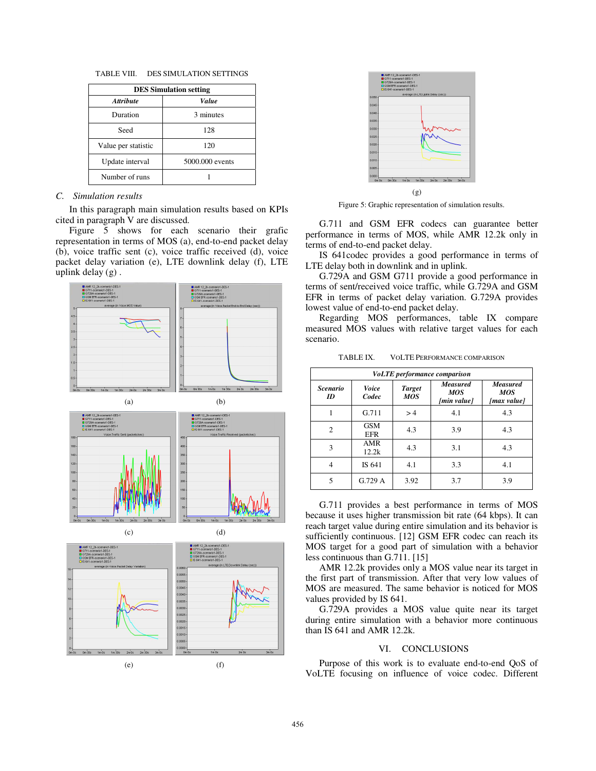| TABLE VIII. |  | <b>DES SIMULATION SETTINGS</b> |
|-------------|--|--------------------------------|
|             |  |                                |

| <b>DES Simulation setting</b> |                 |  |  |
|-------------------------------|-----------------|--|--|
| <b>Attribute</b>              | Value           |  |  |
| Duration                      | 3 minutes       |  |  |
| Seed                          | 128             |  |  |
| Value per statistic           | 120             |  |  |
| Update interval               | 5000,000 events |  |  |
| Number of runs                |                 |  |  |

### *C. Simulation results*

In this paragraph main simulation results based on KPIs cited in paragraph V are discussed.

Figure 5 shows for each scenario their grafic representation in terms of MOS (a), end-to-end packet delay (b), voice traffic sent (c), voice traffic received (d), voice packet delay variation (e), LTE downlink delay (f), LTE uplink delay (g) .





Figure 5: Graphic representation of simulation results.

G.711 and GSM EFR codecs can guarantee better performance in terms of MOS, while AMR 12.2k only in terms of end-to-end packet delay.

IS 641codec provides a good performance in terms of LTE delay both in downlink and in uplink.

G.729A and GSM G711 provide a good performance in terms of sent/received voice traffic, while G.729A and GSM EFR in terms of packet delay variation. G.729A provides lowest value of end-to-end packet delay.

Regarding MOS performances, table IX compare measured MOS values with relative target values for each scenario.

| TABLE IX. | <b>VOLTE PERFORMANCE COMPARISON</b> |  |
|-----------|-------------------------------------|--|
|-----------|-------------------------------------|--|

| <i>VoLTE performance comparison</i> |                          |                             |                                              |                                              |
|-------------------------------------|--------------------------|-----------------------------|----------------------------------------------|----------------------------------------------|
| <b>Scenario</b><br>ID               | <b>Voice</b><br>Codec    | <b>Target</b><br><b>MOS</b> | <b>Measured</b><br><b>MOS</b><br>[min value] | <b>Measured</b><br><b>MOS</b><br>[max value] |
|                                     | G.711                    | >4                          | 4.1                                          | 4.3                                          |
| $\overline{c}$                      | <b>GSM</b><br><b>EFR</b> | 4.3                         | 3.9                                          | 4.3                                          |
| 3                                   | AMR<br>12.2k             | 4.3                         | 3.1                                          | 4.3                                          |
| 4                                   | IS 641                   | 4.1                         | 3.3                                          | 4.1                                          |
| 5                                   | G.729 A                  | 3.92                        | 3.7                                          | 3.9                                          |

G.711 provides a best performance in terms of MOS because it uses higher transmission bit rate (64 kbps). It can reach target value during entire simulation and its behavior is sufficiently continuous. [12] GSM EFR codec can reach its MOS target for a good part of simulation with a behavior less continuous than G.711. [15]

AMR 12.2k provides only a MOS value near its target in the first part of transmission. After that very low values of MOS are measured. The same behavior is noticed for MOS values provided by IS 641.

G.729A provides a MOS value quite near its target during entire simulation with a behavior more continuous than IS 641 and AMR 12.2k.

## VI. CONCLUSIONS

Purpose of this work is to evaluate end-to-end QoS of VoLTE focusing on influence of voice codec. Different